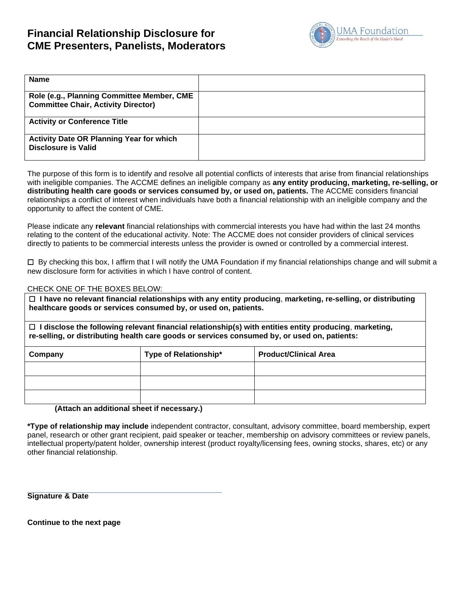# **Financial Relationship Disclosure for CME Presenters, Panelists, Moderators**



| <b>Name</b>                                                                              |  |
|------------------------------------------------------------------------------------------|--|
| Role (e.g., Planning Committee Member, CME<br><b>Committee Chair, Activity Director)</b> |  |
| <b>Activity or Conference Title</b>                                                      |  |
| <b>Activity Date OR Planning Year for which</b><br>Disclosure is Valid                   |  |

The purpose of this form is to identify and resolve all potential conflicts of interests that arise from financial relationships with ineligible companies. The ACCME defines an ineligible company as **any entity producing, marketing, re-selling, or distributing health care goods or services consumed by, or used on, patients.** The ACCME considers financial relationships a conflict of interest when individuals have both a financial relationship with an ineligible company and the opportunity to affect the content of CME.

Please indicate any **relevant** financial relationships with commercial interests you have had within the last 24 months relating to the content of the educational activity. Note: The ACCME does not consider providers of clinical services directly to patients to be commercial interests unless the provider is owned or controlled by a commercial interest.

 $\Box$  By checking this box, I affirm that I will notify the UMA Foundation if my financial relationships change and will submit a new disclosure form for activities in which I have control of content.

# CHECK ONE OF THE BOXES BELOW:

☐ **I have no relevant financial relationships with any entity producing**, **marketing, re-selling, or distributing healthcare goods or services consumed by, or used on, patients.**

☐ **I disclose the following relevant financial relationship(s) with entities entity producing**, **marketing, re-selling, or distributing health care goods or services consumed by, or used on, patients:** 

| Company | Type of Relationship* | <b>Product/Clinical Area</b> |
|---------|-----------------------|------------------------------|
|         |                       |                              |
|         |                       |                              |
|         |                       |                              |

#### **(Attach an additional sheet if necessary.)**

**\*Type of relationship may include** independent contractor, consultant, advisory committee, board membership, expert panel, research or other grant recipient, paid speaker or teacher, membership on advisory committees or review panels, intellectual property/patent holder, ownership interest (product royalty/licensing fees, owning stocks, shares, etc) or any other financial relationship.

**Signature & Date**

**Continue to the next page**